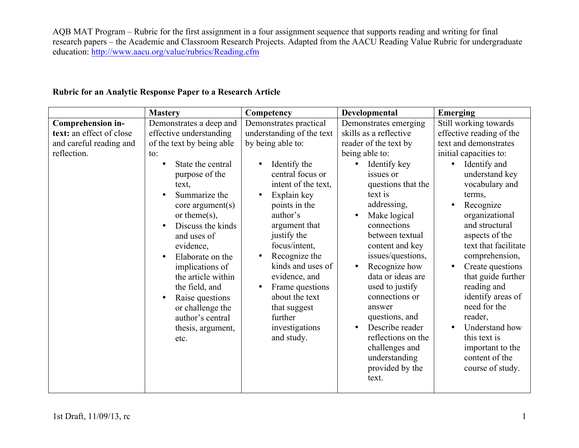AQB MAT Program – Rubric for the first assignment in a four assignment sequence that supports reading and writing for final research papers – the Academic and Classroom Research Projects. Adapted from the AACU Reading Value Rubric for undergraduate education: http://www.aacu.org/value/rubrics/Reading.cfm

## **Rubric for an Analytic Response Paper to a Research Article**

|                                                                                         | <b>Mastery</b>                                                                                                                                                                                                                                                                                                                                                                                                          | Competency                                                                                                                                                                                                                                                                                                                                                                                           | Developmental                                                                                                                                                                                                                                                                                                                                                                                                                                                                                              | Emerging                                                                                                                                                                                                                                                                                                                                                                                                                                                                                                                    |
|-----------------------------------------------------------------------------------------|-------------------------------------------------------------------------------------------------------------------------------------------------------------------------------------------------------------------------------------------------------------------------------------------------------------------------------------------------------------------------------------------------------------------------|------------------------------------------------------------------------------------------------------------------------------------------------------------------------------------------------------------------------------------------------------------------------------------------------------------------------------------------------------------------------------------------------------|------------------------------------------------------------------------------------------------------------------------------------------------------------------------------------------------------------------------------------------------------------------------------------------------------------------------------------------------------------------------------------------------------------------------------------------------------------------------------------------------------------|-----------------------------------------------------------------------------------------------------------------------------------------------------------------------------------------------------------------------------------------------------------------------------------------------------------------------------------------------------------------------------------------------------------------------------------------------------------------------------------------------------------------------------|
| Comprehension in-<br>text: an effect of close<br>and careful reading and<br>reflection. | Demonstrates a deep and<br>effective understanding<br>of the text by being able<br>to:<br>State the central<br>purpose of the<br>text,<br>Summarize the<br>core argument(s)<br>or theme $(s)$ ,<br>Discuss the kinds<br>and uses of<br>evidence,<br>Elaborate on the<br>implications of<br>the article within<br>the field, and<br>Raise questions<br>or challenge the<br>author's central<br>thesis, argument,<br>etc. | Demonstrates practical<br>understanding of the text<br>by being able to:<br>Identify the<br>central focus or<br>intent of the text,<br>Explain key<br>points in the<br>author's<br>argument that<br>justify the<br>focus/intent,<br>Recognize the<br>$\bullet$<br>kinds and uses of<br>evidence, and<br>Frame questions<br>about the text<br>that suggest<br>further<br>investigations<br>and study. | Demonstrates emerging<br>skills as a reflective<br>reader of the text by<br>being able to:<br>Identify key<br>issues or<br>questions that the<br>text is<br>addressing,<br>Make logical<br>connections<br>between textual<br>content and key<br>issues/questions,<br>Recognize how<br>$\bullet$<br>data or ideas are<br>used to justify<br>connections or<br>answer<br>questions, and<br>Describe reader<br>$\bullet$<br>reflections on the<br>challenges and<br>understanding<br>provided by the<br>text. | Still working towards<br>effective reading of the<br>text and demonstrates<br>initial capacities to:<br>Identify and<br>understand key<br>vocabulary and<br>terms,<br>Recognize<br>$\bullet$<br>organizational<br>and structural<br>aspects of the<br>text that facilitate<br>comprehension,<br>Create questions<br>$\bullet$<br>that guide further<br>reading and<br>identify areas of<br>need for the<br>reader,<br>Understand how<br>$\bullet$<br>this text is<br>important to the<br>content of the<br>course of study. |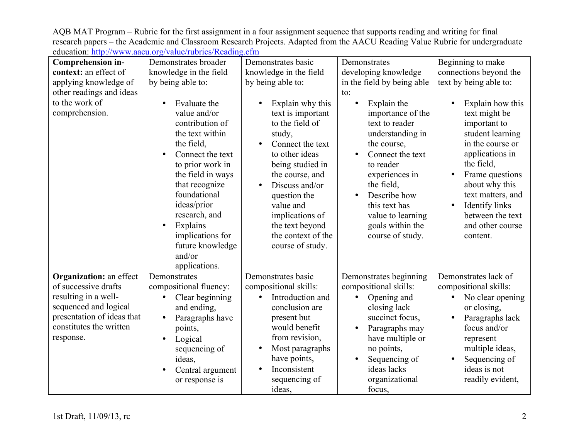AQB MAT Program – Rubric for the first assignment in a four assignment sequence that supports reading and writing for final research papers – the Academic and Classroom Research Projects. Adapted from the AACU Reading Value Rubric for undergraduate education: http://www.aacu.org/value/rubrics/Reading.cfm

| Comprehension in-              | Demonstrates broader            | Demonstrates basic                   | Demonstrates                        | Beginning to make                    |
|--------------------------------|---------------------------------|--------------------------------------|-------------------------------------|--------------------------------------|
| context: an effect of          | knowledge in the field          | knowledge in the field               | developing knowledge                | connections beyond the               |
| applying knowledge of          | by being able to:               | by being able to:                    | in the field by being able          | text by being able to:               |
| other readings and ideas       |                                 |                                      | to:                                 |                                      |
| to the work of                 | Evaluate the                    | Explain why this                     | Explain the                         | Explain how this                     |
| comprehension.                 | value and/or<br>contribution of | text is important<br>to the field of | importance of the<br>text to reader | text might be<br>important to        |
|                                | the text within<br>the field,   | study,<br>Connect the text           | understanding in<br>the course,     | student learning<br>in the course or |
|                                | Connect the text                | to other ideas                       | Connect the text                    | applications in                      |
|                                | to prior work in                | being studied in                     | to reader                           | the field,                           |
|                                | the field in ways               | the course, and                      | experiences in                      | Frame questions                      |
|                                | that recognize<br>foundational  | Discuss and/or<br>question the       | the field,<br>Describe how          | about why this<br>text matters, and  |
|                                | ideas/prior                     | value and                            | this text has                       | Identify links                       |
|                                | research, and                   | implications of                      | value to learning                   | between the text                     |
|                                | Explains<br>$\bullet$           | the text beyond                      | goals within the                    | and other course                     |
|                                | implications for                | the context of the                   | course of study.                    | content.                             |
|                                | future knowledge                | course of study.                     |                                     |                                      |
|                                | and/or                          |                                      |                                     |                                      |
|                                | applications.                   |                                      |                                     |                                      |
| <b>Organization: an effect</b> | Demonstrates                    | Demonstrates basic                   | Demonstrates beginning              | Demonstrates lack of                 |
| of successive drafts           | compositional fluency:          | compositional skills:                | compositional skills:               | compositional skills:                |
| resulting in a well-           | Clear beginning<br>$\bullet$    | Introduction and<br>$\bullet$        | Opening and<br>$\bullet$            | No clear opening<br>$\bullet$        |
| sequenced and logical          | and ending,                     | conclusion are                       | closing lack                        | or closing,                          |
| presentation of ideas that     | Paragraphs have                 | present but                          | succinct focus,                     | Paragraphs lack                      |
| constitutes the written        | points,                         | would benefit                        | Paragraphs may                      | focus and/or                         |
| response.                      | Logical                         | from revision,                       | have multiple or                    | represent                            |
|                                | sequencing of                   | Most paragraphs                      | no points,                          | multiple ideas,                      |
|                                | ideas,                          | have points,                         | Sequencing of                       | Sequencing of                        |
|                                | Central argument                | Inconsistent                         | ideas lacks                         | ideas is not                         |
|                                | or response is                  | sequencing of                        | organizational                      | readily evident,                     |
|                                |                                 | ideas,                               | focus,                              |                                      |